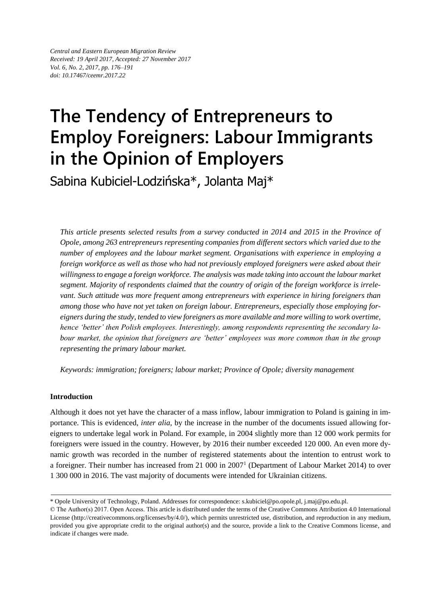*Central and Eastern European Migration Review Received: 19 April 2017, Accepted: 27 November 2017 Vol. 6, No. 2, 2017, pp. 176–191 doi: 10.17467/ceemr.2017.22*

# **The Tendency of Entrepreneurs to Employ Foreigners: Labour Immigrants in the Opinion of Employers**

Sabina Kubiciel-Lodzińska\*, Jolanta Maj\*

*This article presents selected results from a survey conducted in 2014 and 2015 in the Province of Opole, among 263 entrepreneurs representing companies from different sectors which varied due to the number of employees and the labour market segment. Organisations with experience in employing a foreign workforce as well as those who had not previously employed foreigners were asked about their willingness to engage a foreign workforce. The analysis was made taking into account the labour market segment. Majority of respondents claimed that the country of origin of the foreign workforce is irrelevant. Such attitude was more frequent among entrepreneurs with experience in hiring foreigners than among those who have not yet taken on foreign labour. Entrepreneurs, especially those employing foreigners during the study, tended to view foreigners as more available and more willing to work overtime, hence 'better' then Polish employees. Interestingly, among respondents representing the secondary labour market, the opinion that foreigners are 'better' employees was more common than in the group representing the primary labour market.* 

*Keywords: immigration; foreigners; labour market; Province of Opole; diversity management*

# **Introduction**

Although it does not yet have the character of a mass inflow, labour immigration to Poland is gaining in importance. This is evidenced, *inter alia*, by the increase in the number of the documents issued allowing foreigners to undertake legal work in Poland. For example, in 2004 slightly more than 12 000 work permits for foreigners were issued in the country. However, by 2016 their number exceeded 120 000. An even more dynamic growth was recorded in the number of registered statements about the intention to entrust work to a foreigner. Their number has increased from 21 000 in 2007<sup>1</sup> (Department of Labour Market 2014) to over 1 300 000 in 2016. The vast majority of documents were intended for Ukrainian citizens.

<sup>\*</sup> Opole University of Technology, Poland. Addresses for correspondence: [s.kubiciel@po.opole.pl,](mailto:s.kubiciel@po.opole.pl) j.maj@po.edu.pl.

<sup>©</sup> The Author(s) 2017. Open Access. This article is distributed under the terms of the Creative Commons Attribution 4.0 International License (http://creativecommons.org/licenses/by/4.0/), which permits unrestricted use, distribution, and reproduction in any medium, provided you give appropriate credit to the original author(s) and the source, provide a link to the Creative Commons license, and indicate if changes were made.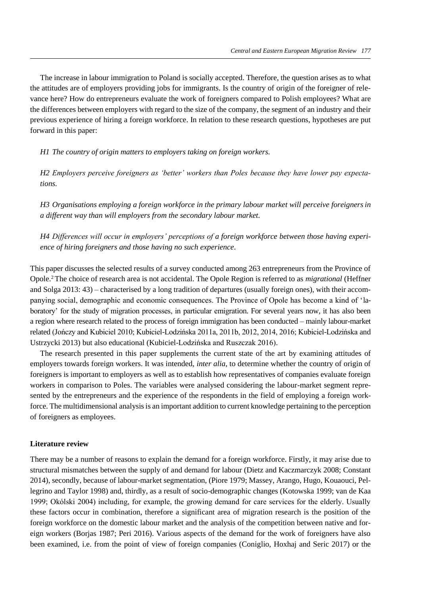The increase in labour immigration to Poland is socially accepted. Therefore, the question arises as to what the attitudes are of employers providing jobs for immigrants. Is the country of origin of the foreigner of relevance here? How do entrepreneurs evaluate the work of foreigners compared to Polish employees? What are the differences between employers with regard to the size of the company, the segment of an industry and their previous experience of hiring a foreign workforce. In relation to these research questions, hypotheses are put forward in this paper:

*H1 The country of origin matters to employers taking on foreign workers.*

*H2 Employers perceive foreigners as 'better' workers than Poles because they have lower pay expectations.*

*H3 Organisations employing a foreign workforce in the primary labour market will perceive foreigners in a different way than will employers from the secondary labour market.*

*H4 Differences will occur in employers' perceptions of a foreign workforce between those having experience of hiring foreigners and those having no such experience*.

This paper discusses the selected results of a survey conducted among 263 entrepreneurs from the Province of Opole.<sup>2</sup>The choice of research area is not accidental. The Opole Region is referred to as *migrational* (Heffner and Solga 2013: 43) – characterised by a long tradition of departures (usually foreign ones), with their accompanying social, demographic and economic consequences. The Province of Opole has become a kind of 'laboratory' for the study of migration processes, in particular emigration. For several years now, it has also been a region where research related to the process of foreign immigration has been conducted – mainly labour-market related (Jończy and Kubiciel 2010; Kubiciel-Lodzińska 2011a, 2011b, 2012, 2014, 2016; Kubiciel-Lodzińska and Ustrzycki 2013) but also educational (Kubiciel-Lodzińska and Ruszczak 2016).

The research presented in this paper supplements the current state of the art by examining attitudes of employers towards foreign workers. It was intended, *inter alia*, to determine whether the country of origin of foreigners is important to employers as well as to establish how representatives of companies evaluate foreign workers in comparison to Poles. The variables were analysed considering the labour-market segment represented by the entrepreneurs and the experience of the respondents in the field of employing a foreign workforce. The multidimensional analysis is an important addition to current knowledge pertaining to the perception of foreigners as employees.

## **Literature review**

There may be a number of reasons to explain the demand for a foreign workforce. Firstly, it may arise due to structural mismatches between the supply of and demand for labour (Dietz and Kaczmarczyk 2008; Constant 2014), secondly, because of labour-market segmentation, (Piore 1979; Massey, Arango, Hugo, Kouaouci, Pellegrino and Taylor 1998) and, thirdly, as a result of socio-demographic changes (Kotowska 1999; van de Kaa 1999; Okólski 2004) including, for example, the growing demand for care services for the elderly. Usually these factors occur in combination, therefore a significant area of migration research is the position of the foreign workforce on the domestic labour market and the analysis of the competition between native and foreign workers (Borjas 1987; Peri 2016). Various aspects of the demand for the work of foreigners have also been examined, i.e. from the point of view of foreign companies (Coniglio, Hoxhaj and Seric 2017) or the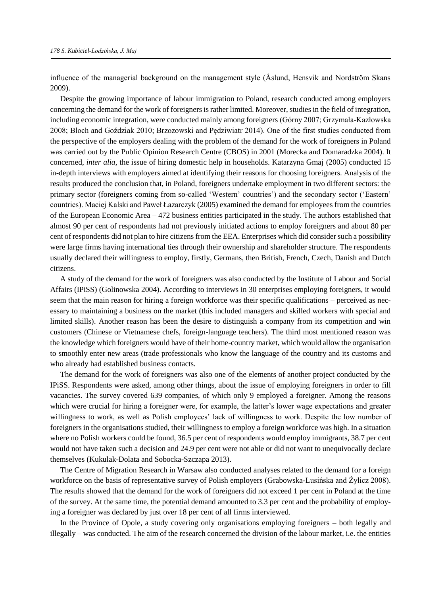influence of the managerial background on the management style (Åslund, Hensvik and Nordström Skans 2009).

Despite the growing importance of labour immigration to Poland, research conducted among employers concerning the demand for the work of foreigners is rather limited. Moreover, studies in the field of integration, including economic integration, were conducted mainly among foreigners (Górny 2007; Grzymała-Kazłowska 2008; Bloch and Goździak 2010; Brzozowski and Pędziwiatr 2014). One of the first studies conducted from the perspective of the employers dealing with the problem of the demand for the work of foreigners in Poland was carried out by the Public Opinion Research Centre (CBOS) in 2001 (Morecka and Domaradzka 2004). It concerned, *inter alia*, the issue of hiring domestic help in households. Katarzyna Gmaj (2005) conducted 15 in-depth interviews with employers aimed at identifying their reasons for choosing foreigners. Analysis of the results produced the conclusion that, in Poland, foreigners undertake employment in two different sectors: the primary sector (foreigners coming from so-called 'Western' countries') and the secondary sector ('Eastern' countries). Maciej Kalski and Paweł Łazarczyk (2005) examined the demand for employees from the countries of the European Economic Area – 472 business entities participated in the study. The authors established that almost 90 per cent of respondents had not previously initiated actions to employ foreigners and about 80 per cent of respondents did not plan to hire citizens from the EEA. Enterprises which did consider such a possibility were large firms having international ties through their ownership and shareholder structure. The respondents usually declared their willingness to employ, firstly, Germans, then British, French, Czech, Danish and Dutch citizens.

A study of the demand for the work of foreigners was also conducted by the Institute of Labour and Social Affairs (IPiSS) (Golinowska 2004). According to interviews in 30 enterprises employing foreigners, it would seem that the main reason for hiring a foreign workforce was their specific qualifications – perceived as necessary to maintaining a business on the market (this included managers and skilled workers with special and limited skills). Another reason has been the desire to distinguish a company from its competition and win customers (Chinese or Vietnamese chefs, foreign-language teachers). The third most mentioned reason was the knowledge which foreigners would have of their home-country market, which would allow the organisation to smoothly enter new areas (trade professionals who know the language of the country and its customs and who already had established business contacts.

The demand for the work of foreigners was also one of the elements of another project conducted by the IPiSS. Respondents were asked, among other things, about the issue of employing foreigners in order to fill vacancies. The survey covered 639 companies, of which only 9 employed a foreigner. Among the reasons which were crucial for hiring a foreigner were, for example, the latter's lower wage expectations and greater willingness to work, as well as Polish employees' lack of willingness to work. Despite the low number of foreigners in the organisations studied, their willingness to employ a foreign workforce was high. In a situation where no Polish workers could be found, 36.5 per cent of respondents would employ immigrants, 38.7 per cent would not have taken such a decision and 24.9 per cent were not able or did not want to unequivocally declare themselves (Kukulak-Dolata and Sobocka-Szczapa 2013).

The Centre of Migration Research in Warsaw also conducted analyses related to the demand for a foreign workforce on the basis of representative survey of Polish employers (Grabowska-Lusińska and Żylicz 2008). The results showed that the demand for the work of foreigners did not exceed 1 per cent in Poland at the time of the survey. At the same time, the potential demand amounted to 3.3 per cent and the probability of employing a foreigner was declared by just over 18 per cent of all firms interviewed.

In the Province of Opole, a study covering only organisations employing foreigners – both legally and illegally – was conducted. The aim of the research concerned the division of the labour market, i.e. the entities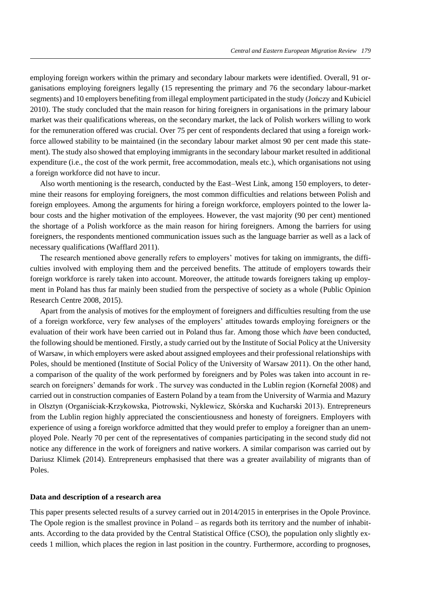employing foreign workers within the primary and secondary labour markets were identified. Overall, 91 organisations employing foreigners legally (15 representing the primary and 76 the secondary labour-market segments) and 10 employers benefiting from illegal employment participated in the study (Jończy and Kubiciel 2010). The study concluded that the main reason for hiring foreigners in organisations in the primary labour market was their qualifications whereas, on the secondary market, the lack of Polish workers willing to work for the remuneration offered was crucial. Over 75 per cent of respondents declared that using a foreign workforce allowed stability to be maintained (in the secondary labour market almost 90 per cent made this statement). The study also showed that employing immigrants in the secondary labour market resulted in additional expenditure (i.e., the cost of the work permit, free accommodation, meals etc.), which organisations not using a foreign workforce did not have to incur.

Also worth mentioning is the research, conducted by the East–West Link, among 150 employers, to determine their reasons for employing foreigners, the most common difficulties and relations between Polish and foreign employees. Among the arguments for hiring a foreign workforce, employers pointed to the lower labour costs and the higher motivation of the employees. However, the vast majority (90 per cent) mentioned the shortage of a Polish workforce as the main reason for hiring foreigners. Among the barriers for using foreigners, the respondents mentioned communication issues such as the language barrier as well as a lack of necessary qualifications (Wafflard 2011).

The research mentioned above generally refers to employers' motives for taking on immigrants, the difficulties involved with employing them and the perceived benefits. The attitude of employers towards their foreign workforce is rarely taken into account. Moreover, the attitude towards foreigners taking up employment in Poland has thus far mainly been studied from the perspective of society as a whole (Public Opinion Research Centre 2008, 2015).

Apart from the analysis of motives for the employment of foreigners and difficulties resulting from the use of a foreign workforce, very few analyses of the employers' attitudes towards employing foreigners or the evaluation of their work have been carried out in Poland thus far. Among those which *have* been conducted, the following should be mentioned. Firstly, a study carried out by the Institute of Social Policy at the University of Warsaw, in which employers were asked about assigned employees and their professional relationships with Poles, should be mentioned (Institute of Social Policy of the University of Warsaw 2011). On the other hand, a comparison of the quality of the work performed by foreigners and by Poles was taken into account in research on foreigners' demands for work . The survey was conducted in the Lublin region (Kornefał 2008) and carried out in construction companies of Eastern Poland by a team from the University of Warmia and Mazury in Olsztyn (Organiściak-Krzykowska, Piotrowski, Nyklewicz, Skórska and Kucharski 2013). Entrepreneurs from the Lublin region highly appreciated the conscientiousness and honesty of foreigners. Employers with experience of using a foreign workforce admitted that they would prefer to employ a foreigner than an unemployed Pole. Nearly 70 per cent of the representatives of companies participating in the second study did not notice any difference in the work of foreigners and native workers. A similar comparison was carried out by Dariusz Klimek (2014). Entrepreneurs emphasised that there was a greater availability of migrants than of Poles.

#### **Data and description of a research area**

This paper presents selected results of a survey carried out in 2014/2015 in enterprises in the Opole Province. The Opole region is the smallest province in Poland – as regards both its territory and the number of inhabitants. According to the data provided by the Central Statistical Office (CSO), the population only slightly exceeds 1 million, which places the region in last position in the country. Furthermore, according to prognoses,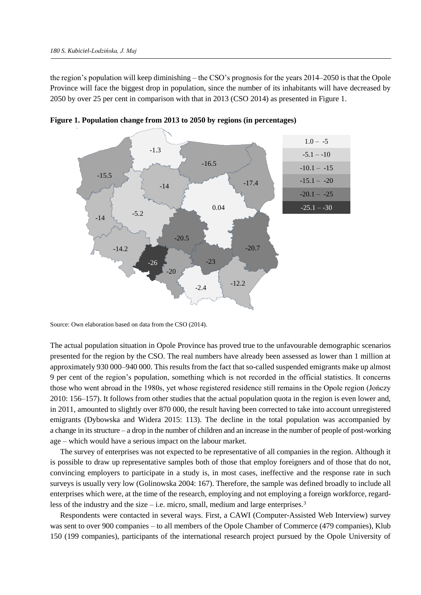the region's population will keep diminishing – the CSO's prognosis for the years 2014–2050 is that the Opole Province will face the biggest drop in population, since the number of its inhabitants will have decreased by 2050 by over 25 per cent in comparison with that in 2013 (CSO 2014) as presented in Figure 1.



**Figure 1. Population change from 2013 to 2050 by regions (in percentages)**

Source: Own elaboration based on data from the CSO (2014).

The actual population situation in Opole Province has proved true to the unfavourable demographic scenarios presented for the region by the CSO. The real numbers have already been assessed as lower than 1 million at approximately 930 000–940 000. This results from the fact that so-called suspended emigrants make up almost 9 per cent of the region's population, something which is not recorded in the official statistics. It concerns those who went abroad in the 1980s, yet whose registered residence still remains in the Opole region (Jończy 2010: 156–157). It follows from other studies that the actual population quota in the region is even lower and, in 2011, amounted to slightly over 870 000, the result having been corrected to take into account unregistered emigrants (Dybowska and Widera 2015: 113). The decline in the total population was accompanied by a change in its structure – a drop in the number of children and an increase in the number of people of post-working age – which would have a serious impact on the labour market.

The survey of enterprises was not expected to be representative of all companies in the region. Although it is possible to draw up representative samples both of those that employ foreigners and of those that do not, convincing employers to participate in a study is, in most cases, ineffective and the response rate in such surveys is usually very low (Golinowska 2004: 167). Therefore, the sample was defined broadly to include all enterprises which were, at the time of the research, employing and not employing a foreign workforce, regardless of the industry and the size – i.e. micro, small, medium and large enterprises.<sup>3</sup>

Respondents were contacted in several ways. First, a CAWI (Computer-Assisted Web Interview) survey was sent to over 900 companies – to all members of the Opole Chamber of Commerce (479 companies), Klub 150 (199 companies), participants of the international research project pursued by the Opole University of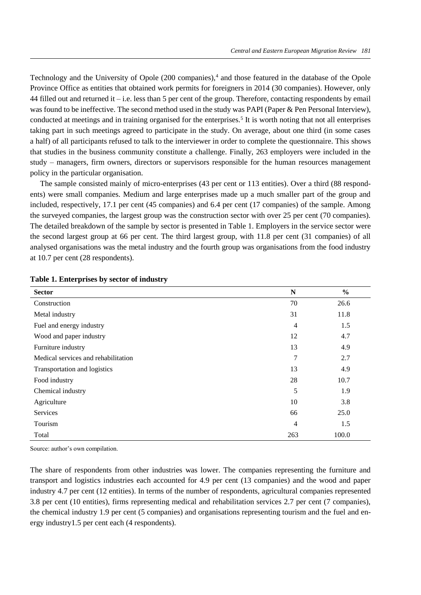Technology and the University of Opole (200 companies),<sup>4</sup> and those featured in the database of the Opole Province Office as entities that obtained work permits for foreigners in 2014 (30 companies). However, only 44 filled out and returned it – i.e. less than 5 per cent of the group. Therefore, contacting respondents by email was found to be ineffective. The second method used in the study was PAPI (Paper & Pen Personal Interview), conducted at meetings and in training organised for the enterprises.<sup>5</sup> It is worth noting that not all enterprises taking part in such meetings agreed to participate in the study. On average, about one third (in some cases a half) of all participants refused to talk to the interviewer in order to complete the questionnaire. This shows that studies in the business community constitute a challenge. Finally, 263 employers were included in the study – managers, firm owners, directors or supervisors responsible for the human resources management policy in the particular organisation.

The sample consisted mainly of micro-enterprises (43 per cent or 113 entities). Over a third (88 respondents) were small companies. Medium and large enterprises made up a much smaller part of the group and included, respectively, 17.1 per cent (45 companies) and 6.4 per cent (17 companies) of the sample. Among the surveyed companies, the largest group was the construction sector with over 25 per cent (70 companies). The detailed breakdown of the sample by sector is presented in Table 1. Employers in the service sector were the second largest group at 66 per cent. The third largest group, with 11.8 per cent (31 companies) of all analysed organisations was the metal industry and the fourth group was organisations from the food industry at 10.7 per cent (28 respondents).

| <b>Sector</b>                       | N              | $\frac{0}{0}$ |
|-------------------------------------|----------------|---------------|
| Construction                        | 70             | 26.6          |
| Metal industry                      | 31             | 11.8          |
| Fuel and energy industry            | $\overline{4}$ | 1.5           |
| Wood and paper industry             | 12             | 4.7           |
| Furniture industry                  | 13             | 4.9           |
| Medical services and rehabilitation | 7              | 2.7           |
| Transportation and logistics        | 13             | 4.9           |
| Food industry                       | 28             | 10.7          |
| Chemical industry                   | 5              | 1.9           |
| Agriculture                         | 10             | 3.8           |
| Services                            | 66             | 25.0          |
| Tourism                             | 4              | 1.5           |
| Total                               | 263            | 100.0         |

## **Table 1. Enterprises by sector of industry**

Source: author's own compilation.

The share of respondents from other industries was lower. The companies representing the furniture and transport and logistics industries each accounted for 4.9 per cent (13 companies) and the wood and paper industry 4.7 per cent (12 entities). In terms of the number of respondents, agricultural companies represented 3.8 per cent (10 entities), firms representing medical and rehabilitation services 2.7 per cent (7 companies), the chemical industry 1.9 per cent (5 companies) and organisations representing tourism and the fuel and energy industry1.5 per cent each (4 respondents).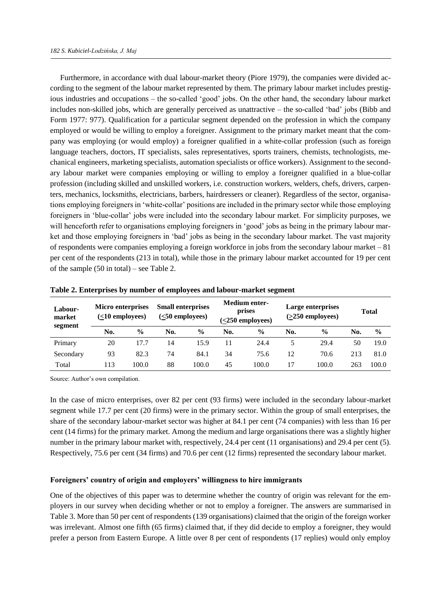Furthermore, in accordance with dual labour-market theory (Piore 1979), the companies were divided according to the segment of the labour market represented by them. The primary labour market includes prestigious industries and occupations – the so-called 'good' jobs. On the other hand, the secondary labour market includes non-skilled jobs, which are generally perceived as unattractive – the so-called 'bad' jobs (Bibb and Form 1977: 977). Qualification for a particular segment depended on the profession in which the company employed or would be willing to employ a foreigner. Assignment to the primary market meant that the company was employing (or would employ) a foreigner qualified in a white-collar profession (such as foreign language teachers, doctors, IT specialists, sales representatives, sports trainers, chemists, technologists, mechanical engineers, marketing specialists, automation specialists or office workers). Assignment to the secondary labour market were companies employing or willing to employ a foreigner qualified in a blue-collar profession (including skilled and unskilled workers, i.e. construction workers, welders, chefs, drivers, carpenters, mechanics, locksmiths, electricians, barbers, hairdressers or cleaner). Regardless of the sector, organisations employing foreigners in 'white-collar' positions are included in the primary sector while those employing foreigners in 'blue-collar' jobs were included into the secondary labour market. For simplicity purposes, we will henceforth refer to organisations employing foreigners in 'good' jobs as being in the primary labour market and those employing foreigners in 'bad' jobs as being in the secondary labour market. The vast majority of respondents were companies employing a foreign workforce in jobs from the secondary labour market  $-81$ per cent of the respondents (213 in total), while those in the primary labour market accounted for 19 per cent of the sample (50 in total) – see Table 2.

| Labour-<br>market | <b>Micro enterprises</b><br>$(<10$ employees) |               | <b>Small enterprises</b><br>$(50$ employees) |               |     | <b>Medium enter-</b><br>prises<br>$(<250$ employees) |     | Large enterprises<br>$($ >250 employees $)$ |     | <b>Total</b>  |
|-------------------|-----------------------------------------------|---------------|----------------------------------------------|---------------|-----|------------------------------------------------------|-----|---------------------------------------------|-----|---------------|
| segment           | No.                                           | $\frac{0}{0}$ | No.                                          | $\frac{6}{9}$ | No. | $\frac{6}{9}$                                        | No. | $\frac{0}{0}$                               | No. | $\frac{6}{9}$ |
| Primary           | 20                                            | 17.7          | 14                                           | 15.9          | 11  | 24.4                                                 |     | 29.4                                        | 50  | 19.0          |
| Secondary         | 93                                            | 82.3          | 74                                           | 84.1          | 34  | 75.6                                                 | 12  | 70.6                                        | 213 | 81.0          |
| Total             | 13                                            | 100.0         | 88                                           | 100.0         | 45  | 100.0                                                |     | 100.0                                       | 263 | 100.0         |

**Table 2. Enterprises by number of employees and labour***-***market segment**

Source: Author's own compilation.

In the case of micro enterprises, over 82 per cent (93 firms) were included in the secondary labour-market segment while 17.7 per cent (20 firms) were in the primary sector. Within the group of small enterprises, the share of the secondary labour-market sector was higher at 84.1 per cent (74 companies) with less than 16 per cent (14 firms) for the primary market. Among the medium and large organisations there was a slightly higher number in the primary labour market with, respectively, 24.4 per cent (11 organisations) and 29.4 per cent (5). Respectively, 75.6 per cent (34 firms) and 70.6 per cent (12 firms) represented the secondary labour market.

## **Foreigners' country of origin and employers' willingness to hire immigrants**

One of the objectives of this paper was to determine whether the country of origin was relevant for the employers in our survey when deciding whether or not to employ a foreigner. The answers are summarised in Table 3. More than 50 per cent of respondents (139 organisations) claimed that the origin of the foreign worker was irrelevant. Almost one fifth (65 firms) claimed that, if they did decide to employ a foreigner, they would prefer a person from Eastern Europe. A little over 8 per cent of respondents (17 replies) would only employ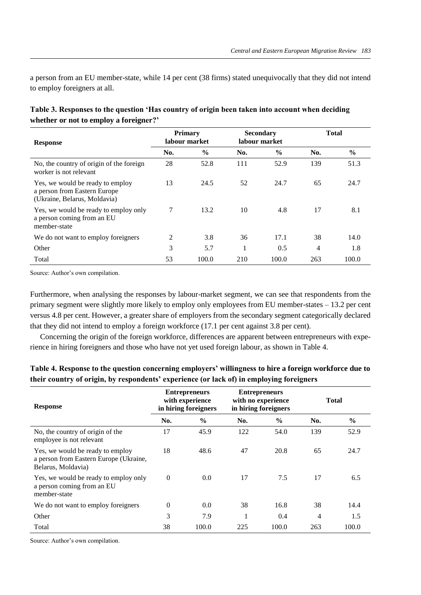a person from an EU member-state, while 14 per cent (38 firms) stated unequivocally that they did not intend to employ foreigners at all.

| <b>Response</b>                                                                                  | <b>Primary</b><br>labour market |               | <b>Secondary</b><br>labour market |               | <b>Total</b> |               |
|--------------------------------------------------------------------------------------------------|---------------------------------|---------------|-----------------------------------|---------------|--------------|---------------|
|                                                                                                  | No.                             | $\frac{6}{9}$ | No.                               | $\frac{6}{6}$ | No.          | $\frac{0}{0}$ |
| No, the country of origin of the foreign<br>worker is not relevant                               | 28                              | 52.8          | 111                               | 52.9          | 139          | 51.3          |
| Yes, we would be ready to employ<br>a person from Eastern Europe<br>(Ukraine, Belarus, Moldavia) | 13                              | 24.5          | 52                                | 24.7          | 65           | 24.7          |
| Yes, we would be ready to employ only<br>a person coming from an EU<br>member-state              | 7                               | 13.2          | 10                                | 4.8           | 17           | 8.1           |
| We do not want to employ for eigners                                                             | 2                               | 3.8           | 36                                | 17.1          | 38           | 14.0          |
| Other                                                                                            | 3                               | 5.7           |                                   | 0.5           | 4            | 1.8           |
| Total                                                                                            | 53                              | 100.0         | 210                               | 100.0         | 263          | 100.0         |

| Table 3. Responses to the question 'Has country of origin been taken into account when deciding |  |
|-------------------------------------------------------------------------------------------------|--|
| whether or not to employ a foreigner?'                                                          |  |

Source: Author's own compilation.

Furthermore, when analysing the responses by labour-market segment, we can see that respondents from the primary segment were slightly more likely to employ only employees from EU member-states – 13.2 per cent versus 4.8 per cent. However, a greater share of employers from the secondary segment categorically declared that they did not intend to employ a foreign workforce (17.1 per cent against 3.8 per cent).

Concerning the origin of the foreign workforce, differences are apparent between entrepreneurs with experience in hiring foreigners and those who have not yet used foreign labour, as shown in Table 4.

| <b>Response</b>                                                                                  | <b>Entrepreneurs</b><br>with experience<br>in hiring foreigners |               | <b>Entrepreneurs</b><br>with no experience<br>in hiring foreigners |               | <b>Total</b> |               |
|--------------------------------------------------------------------------------------------------|-----------------------------------------------------------------|---------------|--------------------------------------------------------------------|---------------|--------------|---------------|
|                                                                                                  | No.                                                             | $\frac{6}{6}$ | No.                                                                | $\frac{6}{6}$ | No.          | $\frac{0}{0}$ |
| No, the country of origin of the<br>employee is not relevant                                     | 17                                                              | 45.9          | 122                                                                | 54.0          | 139          | 52.9          |
| Yes, we would be ready to employ<br>a person from Eastern Europe (Ukraine,<br>Belarus, Moldavia) | 18                                                              | 48.6          | 47                                                                 | 20.8          | 65           | 24.7          |
| Yes, we would be ready to employ only<br>a person coming from an EU<br>member-state              | $\theta$                                                        | 0.0           | 17                                                                 | 7.5           | 17           | 6.5           |
| We do not want to employ for eigners                                                             | $\Omega$                                                        | 0.0           | 38                                                                 | 16.8          | 38           | 14.4          |
| Other                                                                                            | 3                                                               | 7.9           | 1                                                                  | 0.4           | 4            | 1.5           |
| Total                                                                                            | 38                                                              | 100.0         | 225                                                                | 100.0         | 263          | 100.0         |

**Table 4. Response to the question concerning employers' willingness to hire a foreign workforce due to their country of origin, by respondents' experience (or lack of) in employing foreigners**

Source: Author's own compilation.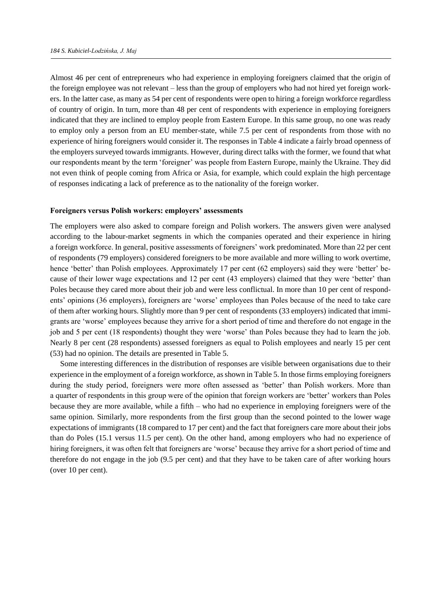Almost 46 per cent of entrepreneurs who had experience in employing foreigners claimed that the origin of the foreign employee was not relevant – less than the group of employers who had not hired yet foreign workers. In the latter case, as many as 54 per cent of respondents were open to hiring a foreign workforce regardless of country of origin. In turn, more than 48 per cent of respondents with experience in employing foreigners indicated that they are inclined to employ people from Eastern Europe. In this same group, no one was ready to employ only a person from an EU member-state, while 7.5 per cent of respondents from those with no experience of hiring foreigners would consider it. The responses in Table 4 indicate a fairly broad openness of the employers surveyed towards immigrants. However, during direct talks with the former, we found that what our respondents meant by the term 'foreigner' was people from Eastern Europe, mainly the Ukraine. They did not even think of people coming from Africa or Asia, for example, which could explain the high percentage of responses indicating a lack of preference as to the nationality of the foreign worker.

#### **Foreigners versus Polish workers: employers' assessments**

The employers were also asked to compare foreign and Polish workers. The answers given were analysed according to the labour-market segments in which the companies operated and their experience in hiring a foreign workforce. In general, positive assessments of foreigners' work predominated. More than 22 per cent of respondents (79 employers) considered foreigners to be more available and more willing to work overtime, hence 'better' than Polish employees. Approximately 17 per cent (62 employers) said they were 'better' because of their lower wage expectations and 12 per cent (43 employers) claimed that they were 'better' than Poles because they cared more about their job and were less conflictual. In more than 10 per cent of respondents' opinions (36 employers), foreigners are 'worse' employees than Poles because of the need to take care of them after working hours. Slightly more than 9 per cent of respondents (33 employers) indicated that immigrants are 'worse' employees because they arrive for a short period of time and therefore do not engage in the job and 5 per cent (18 respondents) thought they were 'worse' than Poles because they had to learn the job. Nearly 8 per cent (28 respondents) assessed foreigners as equal to Polish employees and nearly 15 per cent (53) had no opinion. The details are presented in Table 5.

Some interesting differences in the distribution of responses are visible between organisations due to their experience in the employment of a foreign workforce, as shown in Table 5. In those firms employing foreigners during the study period, foreigners were more often assessed as 'better' than Polish workers. More than a quarter of respondents in this group were of the opinion that foreign workers are 'better' workers than Poles because they are more available, while a fifth – who had no experience in employing foreigners were of the same opinion. Similarly, more respondents from the first group than the second pointed to the lower wage expectations of immigrants (18 compared to 17 per cent) and the fact that foreigners care more about their jobs than do Poles (15.1 versus 11.5 per cent). On the other hand, among employers who had no experience of hiring foreigners, it was often felt that foreigners are 'worse' because they arrive for a short period of time and therefore do not engage in the job (9.5 per cent) and that they have to be taken care of after working hours (over 10 per cent).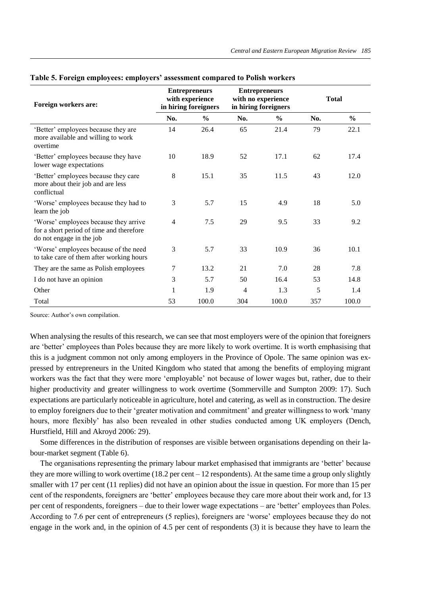| Foreign workers are:                                                                                          | <b>Entrepreneurs</b><br>with experience<br>in hiring foreigners |               | <b>Entrepreneurs</b><br>with no experience<br>in hiring foreigners |               | <b>Total</b> |               |
|---------------------------------------------------------------------------------------------------------------|-----------------------------------------------------------------|---------------|--------------------------------------------------------------------|---------------|--------------|---------------|
|                                                                                                               | No.                                                             | $\frac{0}{0}$ | No.                                                                | $\frac{0}{0}$ | No.          | $\frac{0}{0}$ |
| 'Better' employees because they are<br>more available and willing to work<br>overtime                         | 14                                                              | 26.4          | 65                                                                 | 21.4          | 79           | 22.1          |
| 'Better' employees because they have<br>lower wage expectations                                               | 10                                                              | 18.9          | 52                                                                 | 17.1          | 62           | 17.4          |
| 'Better' employees because they care<br>more about their job and are less<br>conflictual                      | 8                                                               | 15.1          | 35                                                                 | 11.5          | 43           | 12.0          |
| 'Worse' employees because they had to<br>learn the job                                                        | 3                                                               | 5.7           | 15                                                                 | 4.9           | 18           | 5.0           |
| 'Worse' employees because they arrive<br>for a short period of time and therefore<br>do not engage in the job | $\overline{4}$                                                  | 7.5           | 29                                                                 | 9.5           | 33           | 9.2           |
| 'Worse' employees because of the need<br>to take care of them after working hours                             | 3                                                               | 5.7           | 33                                                                 | 10.9          | 36           | 10.1          |
| They are the same as Polish employees                                                                         | 7                                                               | 13.2          | 21                                                                 | 7.0           | 28           | 7.8           |
| I do not have an opinion                                                                                      | 3                                                               | 5.7           | 50                                                                 | 16.4          | 53           | 14.8          |
| Other                                                                                                         |                                                                 | 1.9           | 4                                                                  | 1.3           | 5            | 1.4           |
| Total                                                                                                         | 53                                                              | 100.0         | 304                                                                | 100.0         | 357          | 100.0         |

## **Table 5. Foreign employees: employers' assessment compared to Polish workers**

Source: Author's own compilation.

When analysing the results of this research, we can see that most employers were of the opinion that foreigners are 'better' employees than Poles because they are more likely to work overtime. It is worth emphasising that this is a judgment common not only among employers in the Province of Opole. The same opinion was expressed by entrepreneurs in the United Kingdom who stated that among the benefits of employing migrant workers was the fact that they were more 'employable' not because of lower wages but, rather, due to their higher productivity and greater willingness to work overtime (Sommerville and Sumpton 2009: 17). Such expectations are particularly noticeable in agriculture, hotel and catering, as well as in construction. The desire to employ foreigners due to their 'greater motivation and commitment' and greater willingness to work 'many hours, more flexibly' has also been revealed in other studies conducted among UK employers (Dench, Hurstfield, Hill and Akroyd 2006: 29).

Some differences in the distribution of responses are visible between organisations depending on their labour-market segment (Table 6).

The organisations representing the primary labour market emphasised that immigrants are 'better' because they are more willing to work overtime (18.2 per cent – 12 respondents). At the same time a group only slightly smaller with 17 per cent (11 replies) did not have an opinion about the issue in question. For more than 15 per cent of the respondents, foreigners are 'better' employees because they care more about their work and, for 13 per cent of respondents, foreigners – due to their lower wage expectations – are 'better' employees than Poles. According to 7.6 per cent of entrepreneurs (5 replies), foreigners are 'worse' employees because they do not engage in the work and, in the opinion of 4.5 per cent of respondents (3) it is because they have to learn the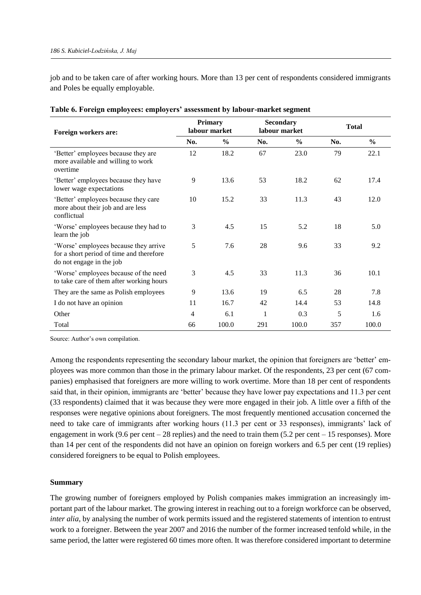job and to be taken care of after working hours. More than 13 per cent of respondents considered immigrants and Poles be equally employable.

| Foreign workers are:                                                                                          | <b>Primary</b><br>labour market |               | <b>Secondary</b><br>labour market |               | <b>Total</b> |               |
|---------------------------------------------------------------------------------------------------------------|---------------------------------|---------------|-----------------------------------|---------------|--------------|---------------|
|                                                                                                               | No.                             | $\frac{0}{0}$ | No.                               | $\frac{0}{0}$ | No.          | $\frac{0}{0}$ |
| 'Better' employees because they are<br>more available and willing to work<br>overtime                         | 12                              | 18.2          | 67                                | 23.0          | 79           | 22.1          |
| 'Better' employees because they have<br>lower wage expectations                                               | 9                               | 13.6          | 53                                | 18.2          | 62           | 17.4          |
| 'Better' employees because they care<br>more about their job and are less<br>conflictual                      | 10                              | 15.2          | 33                                | 11.3          | 43           | 12.0          |
| 'Worse' employees because they had to<br>learn the job                                                        | 3                               | 4.5           | 15                                | 5.2           | 18           | 5.0           |
| 'Worse' employees because they arrive<br>for a short period of time and therefore<br>do not engage in the job | 5                               | 7.6           | 28                                | 9.6           | 33           | 9.2           |
| 'Worse' employees because of the need<br>to take care of them after working hours                             | 3                               | 4.5           | 33                                | 11.3          | 36           | 10.1          |
| They are the same as Polish employees                                                                         | 9                               | 13.6          | 19                                | 6.5           | 28           | 7.8           |
| I do not have an opinion                                                                                      | 11                              | 16.7          | 42                                | 14.4          | 53           | 14.8          |
| Other                                                                                                         | 4                               | 6.1           | 1                                 | 0.3           | 5            | 1.6           |
| Total                                                                                                         | 66                              | 100.0         | 291                               | 100.0         | 357          | 100.0         |

|  |  | Table 6. Foreign employees: employers' assessment by labour-market segment |  |
|--|--|----------------------------------------------------------------------------|--|
|  |  |                                                                            |  |

Source: Author's own compilation.

Among the respondents representing the secondary labour market, the opinion that foreigners are 'better' employees was more common than those in the primary labour market. Of the respondents, 23 per cent (67 companies) emphasised that foreigners are more willing to work overtime. More than 18 per cent of respondents said that, in their opinion, immigrants are 'better' because they have lower pay expectations and 11.3 per cent (33 respondents) claimed that it was because they were more engaged in their job. A little over a fifth of the responses were negative opinions about foreigners. The most frequently mentioned accusation concerned the need to take care of immigrants after working hours (11.3 per cent or 33 responses), immigrants' lack of engagement in work (9.6 per cent – 28 replies) and the need to train them  $(5.2$  per cent – 15 responses). More than 14 per cent of the respondents did not have an opinion on foreign workers and 6.5 per cent (19 replies) considered foreigners to be equal to Polish employees.

# **Summary**

The growing number of foreigners employed by Polish companies makes immigration an increasingly important part of the labour market. The growing interest in reaching out to a foreign workforce can be observed, *inter alia*, by analysing the number of work permits issued and the registered statements of intention to entrust work to a foreigner. Between the year 2007 and 2016 the number of the former increased tenfold while, in the same period, the latter were registered 60 times more often. It was therefore considered important to determine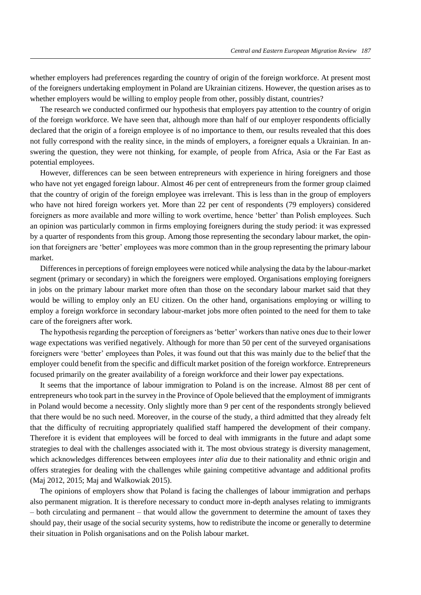whether employers had preferences regarding the country of origin of the foreign workforce. At present most of the foreigners undertaking employment in Poland are Ukrainian citizens. However, the question arises as to whether employers would be willing to employ people from other, possibly distant, countries?

The research we conducted confirmed our hypothesis that employers pay attention to the country of origin of the foreign workforce. We have seen that, although more than half of our employer respondents officially declared that the origin of a foreign employee is of no importance to them, our results revealed that this does not fully correspond with the reality since, in the minds of employers, a foreigner equals a Ukrainian. In answering the question, they were not thinking, for example, of people from Africa, Asia or the Far East as potential employees.

However, differences can be seen between entrepreneurs with experience in hiring foreigners and those who have not yet engaged foreign labour. Almost 46 per cent of entrepreneurs from the former group claimed that the country of origin of the foreign employee was irrelevant. This is less than in the group of employers who have not hired foreign workers yet. More than 22 per cent of respondents (79 employers) considered foreigners as more available and more willing to work overtime, hence 'better' than Polish employees. Such an opinion was particularly common in firms employing foreigners during the study period: it was expressed by a quarter of respondents from this group. Among those representing the secondary labour market, the opinion that foreigners are 'better' employees was more common than in the group representing the primary labour market.

Differences in perceptions of foreign employees were noticed while analysing the data by the labour-market segment (primary or secondary) in which the foreigners were employed. Organisations employing foreigners in jobs on the primary labour market more often than those on the secondary labour market said that they would be willing to employ only an EU citizen. On the other hand, organisations employing or willing to employ a foreign workforce in secondary labour-market jobs more often pointed to the need for them to take care of the foreigners after work.

The hypothesis regarding the perception of foreigners as 'better' workers than native ones due to their lower wage expectations was verified negatively. Although for more than 50 per cent of the surveyed organisations foreigners were 'better' employees than Poles, it was found out that this was mainly due to the belief that the employer could benefit from the specific and difficult market position of the foreign workforce. Entrepreneurs focused primarily on the greater availability of a foreign workforce and their lower pay expectations.

It seems that the importance of labour immigration to Poland is on the increase. Almost 88 per cent of entrepreneurs who took part in the survey in the Province of Opole believed that the employment of immigrants in Poland would become a necessity. Only slightly more than 9 per cent of the respondents strongly believed that there would be no such need. Moreover, in the course of the study, a third admitted that they already felt that the difficulty of recruiting appropriately qualified staff hampered the development of their company. Therefore it is evident that employees will be forced to deal with immigrants in the future and adapt some strategies to deal with the challenges associated with it. The most obvious strategy is diversity management, which acknowledges differences between employees *inter alia* due to their nationality and ethnic origin and offers strategies for dealing with the challenges while gaining competitive advantage and additional profits (Maj 2012, 2015; Maj and Walkowiak 2015).

The opinions of employers show that Poland is facing the challenges of labour immigration and perhaps also permanent migration. It is therefore necessary to conduct more in-depth analyses relating to immigrants – both circulating and permanent – that would allow the government to determine the amount of taxes they should pay, their usage of the social security systems, how to redistribute the income or generally to determine their situation in Polish organisations and on the Polish labour market.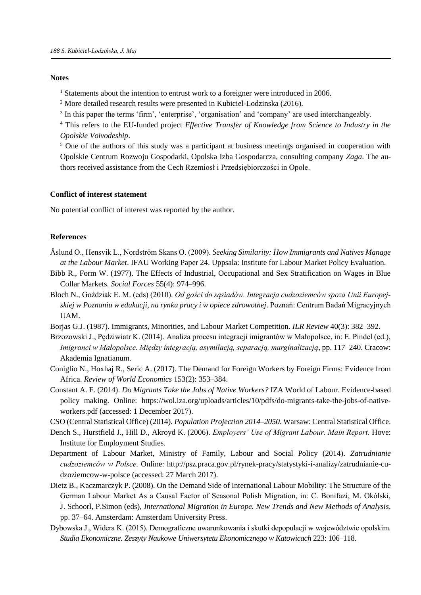## **Notes**

<sup>1</sup> Statements about the intention to entrust work to a foreigner were introduced in 2006.

<sup>2</sup> More detailed research results were presented in Kubiciel-Lodzinska (2016)*.*

<sup>3</sup> In this paper the terms 'firm', 'enterprise', 'organisation' and 'company' are used interchangeably.

<sup>4</sup> This refers to the EU-funded project *Effective Transfer of Knowledge from Science to Industry in the Opolskie Voivodeship*.

<sup>5</sup> One of the authors of this study was a participant at business meetings organised in cooperation with Opolskie Centrum Rozwoju Gospodarki, Opolska Izba Gospodarcza, consulting company *Zaga*. The authors received assistance from the Cech Rzemiosł i Przedsiębiorczości in Opole.

## **Conflict of interest statement**

No potential conflict of interest was reported by the author.

# **References**

- Åslund O., Hensvik L., Nordström Skans O. (2009). *Seeking Similarity: How Immigrants and Natives Manage at the Labour Market*. IFAU Working Paper 24. Uppsala: Institute for Labour Market Policy Evaluation.
- Bibb R., Form W. (1977). The Effects of Industrial, Occupational and Sex Stratification on Wages in Blue Collar Markets. *Social Forces* 55(4): 974–996.
- Bloch N., Goździak E. M. (eds) (2010). *Od gości do sąsiadów. Integracja cudzoziemców spoza Unii Europejskiej w Poznaniu w edukacji, na rynku pracy i w opiece zdrowotnej*. Poznań: Centrum Badań Migracyjnych UAM.
- Borjas G.J. (1987). Immigrants, Minorities, and Labour Market Competition. *ILR Review* 40(3): 382–392.
- Brzozowski J., Pędziwiatr K. (2014). Analiza procesu integracji imigrantów w Małopolsce, in: E. Pindel (ed.), *Imigranci w Małopolsce. Między integracją, asymilacją, separacją, marginalizacją*, pp. 117–240. Cracow: Akademia Ignatianum.
- Coniglio N., Hoxhaj R., Seric A. (2017). The Demand for Foreign Workers by Foreign Firms: Evidence from Africa. *Review of World Economics* 153(2): 353–384.
- Constant A. F. (2014). *Do Migrants Take the Jobs of Native Workers?* IZA World of Labour. Evidence-based policy making. Online: https://wol.iza.org/uploads/articles/10/pdfs/do-migrants-take-the-jobs-of-nativeworkers.pdf (accessed: 1 December 2017).

CSO (Central Statistical Office) (2014). *Population Projection 2014–2050*. Warsaw: Central Statistical Office.

- Dench S., Hurstfield J., Hill D., Akroyd K. (2006). *Employers' Use of Migrant Labour. Main Report.* Hove: Institute for Employment Studies.
- Department of Labour Market, Ministry of Family, Labour and Social Policy (2014). *Zatrudnianie cudzoziemców w Polsce.* Online: http://psz.praca.gov.pl/rynek-pracy/statystyki-i-analizy/zatrudnianie-cudzoziemcow-w-polsce (accessed: 27 March 2017).
- Dietz B., Kaczmarczyk P. (2008). On the Demand Side of International Labour Mobility: The Structure of the German Labour Market As a Causal Factor of Seasonal Polish Migration, in: C. Bonifazi, M. Okólski, J. Schoorl, P.Simon (eds), *International Migration in Europe. New Trends and New Methods of Analysis*, pp. 37–64. Amsterdam: Amsterdam University Press.
- Dybowska J., Widera K. (2015). Demograficzne uwarunkowania i skutki depopulacji w województwie opolskim. *Studia Ekonomiczne. Zeszyty Naukowe Uniwersytetu Ekonomicznego w Katowicach* 223: 106–118.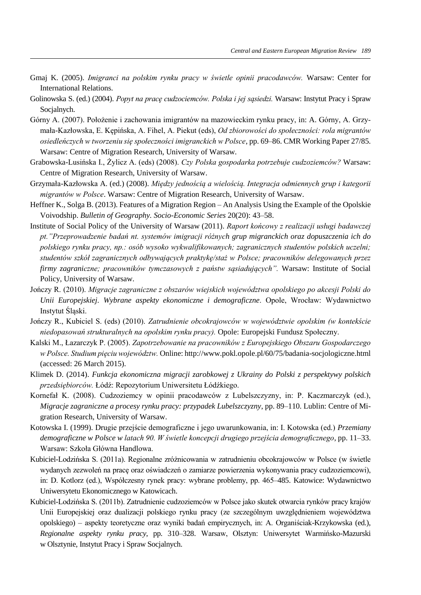- Gmaj K. (2005). *Imigranci na polskim rynku pracy w świetle opinii pracodawców.* Warsaw: Center for International Relations.
- Golinowska S. (ed.) (2004). *Popyt na pracę cudzociemców. Polska i jej sąsiedzi.* Warsaw: Instytut Pracy i Spraw Socialnych.
- Górny A. (2007). Położenie i zachowania imigrantów na mazowieckim rynku pracy, in: A. Górny, A. Grzymała-Kazłowska, E. Kępińska, A. Fihel, A. Piekut (eds), *Od zbiorowości do społeczności: rola migrantów osiedleńczych w tworzeniu się społeczności imigranckich w Polsce*, pp. 69–86. CMR Working Paper 27/85. Warsaw: Centre of Migration Research, University of Warsaw.
- Grabowska-Lusińska I., Żylicz A. (eds) (2008). *Czy Polska gospodarka potrzebuje cudzoziemców?* Warsaw: Centre of Migration Research, University of Warsaw.
- Grzymała-Kazłowska A. (ed.) (2008). *Między jednością a wielością. Integracja odmiennych grup i kategorii migrantów w Polsce*. Warsaw: Centre of Migration Research, University of Warsaw.
- Heffner K., Solga B. (2013). Features of a Migration Region An Analysis Using the Example of the Opolskie Voivodship. *Bulletin of Geography. Socio-Economic Series* 20(20): 43–58.
- Institute of Social Policy of the University of Warsaw (2011). *Raport końcowy z realizacji usługi badawczej pt."Przeprowadzenie badań nt. systemów imigracji różnych grup migranckich oraz dopuszczenia ich do polskiego rynku pracy, np.: osób wysoko wykwalifikowanych; zagranicznych studentów polskich uczelni; studentów szkół zagranicznych odbywających praktykę/staż w Polsce; pracowników delegowanych przez firmy zagraniczne; pracowników tymczasowych z państw sąsiadujących".* Warsaw: Institute of Social Policy, University of Warsaw.
- Jończy R. (2010). *Migracje zagraniczne z obszarów wiejskich województwa opolskiego po akcesji Polski do Unii Europejskiej. Wybrane aspekty ekonomiczne i demograficzne*. Opole, Wrocław: Wydawnictwo Instytut Śląski.
- Jończy R., Kubiciel S. (eds) (2010). *Zatrudnienie obcokrajowców w województwie opolskim (w kontekście niedopasowań strukturalnych na opolskim rynku pracy).* Opole: Europejski Fundusz Społeczny.
- Kalski M., Łazarczyk P. (2005). *Zapotrzebowanie na pracowników z Europejskiego Obszaru Gospodarczego w Polsce. Studium pięciu województw.* Online: http://www.pokl.opole.pl/60/75/badania-socjologiczne.html (accessed: 26 March 2015).
- Klimek D. (2014). *Funkcja ekonomiczna migracji zarobkowej z Ukrainy do Polski z perspektywy polskich przedsiębiorców.* Łódź: Repozytorium Uniwersitetu Łódźkiego.
- Kornefał K. (2008). Cudzoziemcy w opinii pracodawców z Lubelszczyzny, in: P. Kaczmarczyk (ed.), *Migracje zagraniczne a procesy rynku pracy: przypadek Lubelszczyzny*, pp. 89–110. Lublin: Centre of Migration Research, University of Warsaw.
- Kotowska I. (1999). Drugie przejście demograficzne i jego uwarunkowania, in: I. Kotowska (ed.) *Przemiany demograficzne w Polsce w latach 90. W świetle koncepcji drugiego przejścia demograficznego*, pp. 11–33. Warsaw: Szkoła Główna Handlowa.
- Kubiciel-Lodzińska S. (2011a). Regionalne zróżnicowania w zatrudnieniu obcokrajowców w Polsce (w świetle wydanych zezwoleń na pracę oraz oświadczeń o zamiarze powierzenia wykonywania pracy cudzoziemcowi), in: D. Kotlorz (ed.), Współczesny rynek pracy: wybrane problemy, pp. 465–485. Katowice: Wydawnictwo Uniwersytetu Ekonomicznego w Katowicach.
- Kubiciel-Lodzińska S. (2011b). Zatrudnienie cudzoziemców w Polsce jako skutek otwarcia rynków pracy krajów Unii Europejskiej oraz dualizacji polskiego rynku pracy (ze szczególnym uwzględnieniem województwa opolskiego) – aspekty teoretyczne oraz wyniki badań empirycznych, in: A. Organiściak-Krzykowska (ed.), *Regionalne aspekty rynku pracy*, pp. 310–328. Warsaw, Olsztyn: Uniwersytet Warmińsko-Mazurski w Olsztynie, Instytut Pracy i Spraw Socjalnych.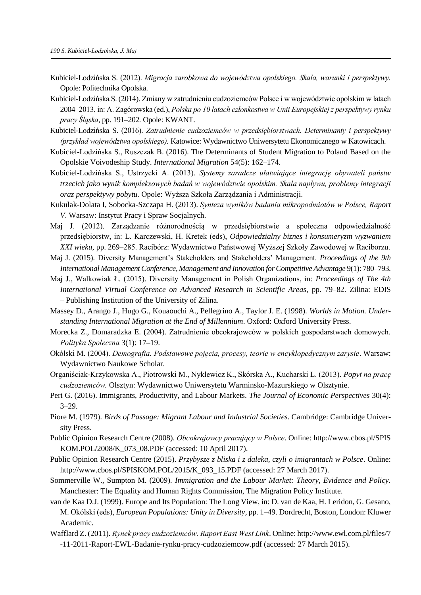- Kubiciel-Lodzińska S. (2012). *Migracja zarobkowa do województwa opolskiego. Skala, warunki i perspektywy.* Opole: Politechnika Opolska.
- Kubiciel-Lodzińska S. (2014). Zmiany w zatrudnieniu cudzoziemców Polsce i w województwie opolskim w latach 2004–2013, in: A. Zagórowska (ed.), *Polska po 10 latach członkostwa w Unii Europejskiej z perspektywy rynku pracy Śląska*, pp. 191–202*.* Opole: KWANT.
- Kubiciel-Lodzińska S. (2016). *Zatrudnienie cudzoziemców w przedsiębiorstwach. Determinanty i perspektywy (przykład województwa opolskiego).* Katowice: Wydawnictwo Uniwersytetu Ekonomicznego w Katowicach.
- Kubiciel-Lodzińska S., Ruszczak B. (2016). The Determinants of Student Migration to Poland Based on the Opolskie Voivodeship Study. *International Migration* 54(5): 162–174.
- Kubiciel-Lodzińska S., Ustrzycki A. (2013). *Systemy zaradcze ułatwiające integrację obywateli państw trzecich jako wynik kompleksowych badań w województwie opolskim. Skala napływu, problemy integracji oraz perspektywy pobytu.* Opole: Wyższa Szkoła Zarządzania i Administracji.
- Kukulak-Dolata I, Sobocka-Szczapa H. (2013). *Synteza wyników badania mikropodmiotów w Polsce, Raport V*. Warsaw: Instytut Pracy i Spraw Socjalnych.
- Maj J. (2012). Zarządzanie różnorodnością w przedsiębiorstwie a społeczna odpowiedzialność przedsiębiorstw, in: L. Karczewski, H. Kretek (eds), *Odpowiedzialny biznes i konsumeryzm wyzwaniem XXI wieku*, pp. 269–285. Racibórz: Wydawnictwo Państwowej Wyższej Szkoły Zawodowej w Raciborzu.
- Maj J. (2015). Diversity Management's Stakeholders and Stakeholders' Management. *Proceedings of the 9th International Management Conference, Management and Innovation for Competitive Advantage* 9(1): 780–793.
- Maj J., Walkowiak Ł. (2015). Diversity Management in Polish Organizations, in: *Proceedings of The 4th International Virtual Conference on Advanced Research in Scientific Areas,* pp. 79–82. Zilina: EDIS – Publishing Institution of the University of Zilina.
- Massey D., Arango J., Hugo G., Kouaouchi A., Pellegrino A., Taylor J. E. (1998). *Worlds in Motion. Understanding International Migration at the End of Millennium*. Oxford: Oxford University Press.
- Morecka Z., Domaradzka E. (2004). Zatrudnienie obcokrajowców w polskich gospodarstwach domowych. *Polityka Społeczna* 3(1): 17–19.
- Okólski M. (2004). *Demografia. Podstawowe pojęcia, procesy, teorie w encyklopedycznym zarysie*. Warsaw: Wydawnictwo Naukowe Scholar.
- Organiściak-Krzykowska A., Piotrowski M., Nyklewicz K., Skórska A., Kucharski L. (2013). *Popyt na pracę cudzoziemców.* Olsztyn: Wydawnictwo Uniwersytetu Warminsko-Mazurskiego w Olsztynie.
- Peri G. (2016). Immigrants, Productivity, and Labour Markets. *The Journal of Economic Perspectives* 30(4): 3–29.
- Piore M. (1979). *Birds of Passage: Migrant Labour and Industrial Societies*. Cambridge: Cambridge University Press.
- Public Opinion Research Centre (2008). *Obcokrajowcy pracujący w Polsce*. Online: http://www.cbos.pl/SPIS KOM.POL/2008/K\_073\_08.PDF (accessed: 10 April 2017).
- Public Opinion Research Centre (2015). *Przybysze z bliska i z daleka, czyli o imigrantach w Polsce*. Online: http://www.cbos.pl/SPISKOM.POL/2015/K\_093\_15.PDF (accessed: 27 March 2017).
- Sommerville W., Sumpton M. (2009). *Immigration and the Labour Market: Theory, Evidence and Policy.* Manchester: The Equality and Human Rights Commission, The Migration Policy Institute.
- van de Kaa D.J. (1999). Europe and Its Population: The Long View, in: D. van de Kaa, H. Leridon, G. Gesano, M. Okólski (eds), *European Populations: Unity in Diversity*, pp. 1–49. Dordrecht, Boston, London: Kluwer Academic.
- Wafflard Z. (2011). *Rynek pracy cudzoziemców. Raport East West Link*. Online: http://www.ewl.com.pl/files/7 -11-2011-Raport-EWL-Badanie-rynku-pracy-cudzoziemcow.pdf (accessed: 27 March 2015).